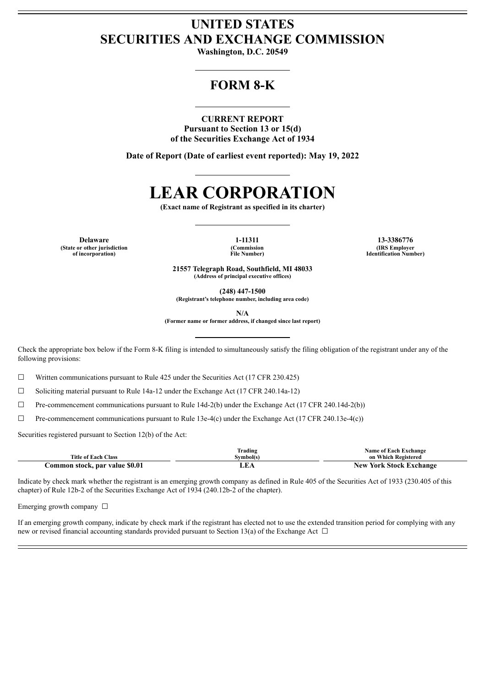# **UNITED STATES SECURITIES AND EXCHANGE COMMISSION**

**Washington, D.C. 20549**

# **FORM 8-K**

#### **CURRENT REPORT**

**Pursuant to Section 13 or 15(d) of the Securities Exchange Act of 1934**

**Date of Report (Date of earliest event reported): May 19, 2022**

# **LEAR CORPORATION**

**(Exact name of Registrant as specified in its charter)**

**Delaware 1-11311 13-3386776 (State or other jurisdiction of incorporation)**

**(Commission File Number)**

**(IRS Employer Identification Number)**

**21557 Telegraph Road, Southfield, MI 48033 (Address of principal executive offices)**

**(248) 447-1500**

**(Registrant's telephone number, including area code)**

**N/A**

**(Former name or former address, if changed since last report)**

Check the appropriate box below if the Form 8-K filing is intended to simultaneously satisfy the filing obligation of the registrant under any of the following provisions:

 $\Box$  Written communications pursuant to Rule 425 under the Securities Act (17 CFR 230.425)

☐ Soliciting material pursuant to Rule 14a-12 under the Exchange Act (17 CFR 240.14a-12)

☐ Pre-commencement communications pursuant to Rule 14d-2(b) under the Exchange Act (17 CFR 240.14d-2(b))

☐ Pre-commencement communications pursuant to Rule 13e-4(c) under the Exchange Act (17 CFR 240.13e-4(c))

Securities registered pursuant to Section 12(b) of the Act:

|                                | Frading   | <b>Name of Each Exchange</b>   |
|--------------------------------|-----------|--------------------------------|
| <b>Title of Each Class</b>     | Svmbol(s) | on Which Registered            |
| Common stock, par value \$0.01 |           | <b>New York Stock Exchange</b> |

Indicate by check mark whether the registrant is an emerging growth company as defined in Rule 405 of the Securities Act of 1933 (230.405 of this chapter) of Rule 12b-2 of the Securities Exchange Act of 1934 (240.12b-2 of the chapter).

Emerging growth company  $\Box$ 

If an emerging growth company, indicate by check mark if the registrant has elected not to use the extended transition period for complying with any new or revised financial accounting standards provided pursuant to Section 13(a) of the Exchange Act  $\Box$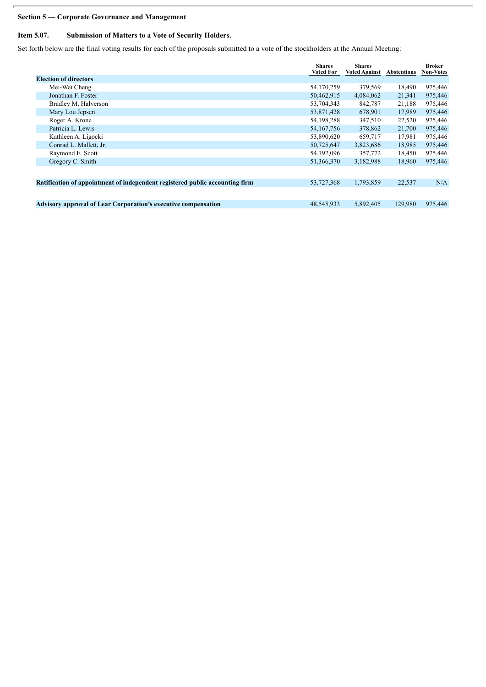## **Section 5 — Corporate Governance and Management**

## **Item 5.07. Submission of Matters to a Vote of Security Holders.**

Set forth below are the final voting results for each of the proposals submitted to a vote of the stockholders at the Annual Meeting:

|                                                                              |                              | <b>Shares</b><br><b>Voted For</b> | <b>Shares</b><br><b>Voted Against</b> | <b>Abstentions</b> | Broker<br>Non-Votes |
|------------------------------------------------------------------------------|------------------------------|-----------------------------------|---------------------------------------|--------------------|---------------------|
|                                                                              | <b>Election of directors</b> |                                   |                                       |                    |                     |
|                                                                              | Mei-Wei Cheng                | 54,170,259                        | 379,569                               | 18,490             | 975,446             |
|                                                                              | Jonathan F. Foster           | 50,462,915                        | 4,084,062                             | 21,341             | 975,446             |
|                                                                              | Bradley M. Halverson         | 53,704,343                        | 842,787                               | 21,188             | 975,446             |
|                                                                              | Mary Lou Jepsen              | 53,871,428                        | 678,901                               | 17,989             | 975,446             |
|                                                                              | Roger A. Krone               | 54,198,288                        | 347,510                               | 22,520             | 975,446             |
|                                                                              | Patricia L. Lewis            | 54, 167, 756                      | 378,862                               | 21,700             | 975,446             |
|                                                                              | Kathleen A. Ligocki          | 53,890,620                        | 659,717                               | 17,981             | 975,446             |
|                                                                              | Conrad L. Mallett, Jr.       | 50,725,647                        | 3,823,686                             | 18,985             | 975,446             |
|                                                                              | Raymond E. Scott             | 54,192,096                        | 357,772                               | 18,450             | 975,446             |
|                                                                              | Gregory C. Smith             | 51,366,370                        | 3,182,988                             | 18,960             | 975,446             |
|                                                                              |                              |                                   |                                       |                    |                     |
| Ratification of appointment of independent registered public accounting firm |                              | 53,727,368                        | 1,793,859                             | 22,537             | N/A                 |
|                                                                              |                              |                                   |                                       |                    |                     |
| <b>Advisory approval of Lear Corporation's executive compensation</b>        |                              | 48,545,933                        | 5,892,405                             | 129,980            | 975,446             |